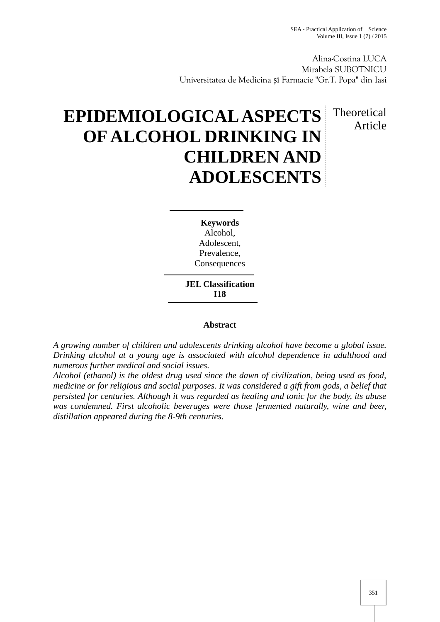Article

Alina-Costina LUCA Mirabela SUBOTNICU Universitatea de Medicina i Farmacie "Gr.T. Popa" din Iasi

## **EPIDEMIOLOGICAL ASPECTS OF ALCOHOL DRINKING IN CHILDREN AND ADOLESCENTS** Theoretical

**Keywords** Alcohol, Adolescent, Prevalence, **Consequences** 

**JEL Classification I18**

## **Abstract**

*A growing number of children and adolescents drinking alcohol have become a global issue. Drinking alcohol at a young age is associated with alcohol dependence in adulthood and numerous further medical and social issues.*

*Alcohol (ethanol) is the oldest drug used since the dawn of civilization, being used as food, medicine or for religious and social purposes. It was considered a gift from gods, a belief that persisted for centuries. Although it was regarded as healing and tonic for the body, its abuse was condemned. First alcoholic beverages were those fermented naturally, wine and beer, distillation appeared during the 8-9th centuries.*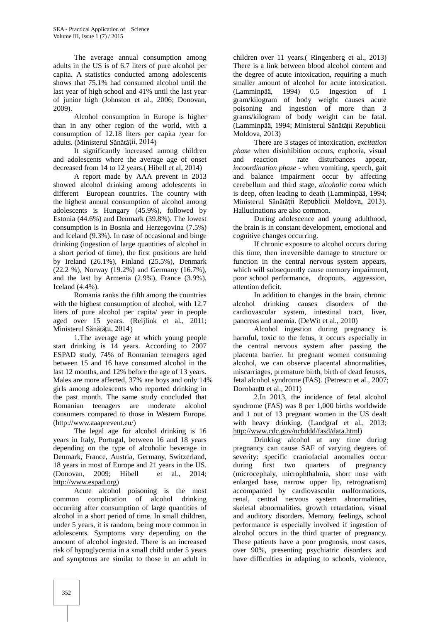The average annual consumption among adults in the US is of 6.7 liters of pure alcohol per capita. A statistics conducted among adolescents shows that 75.1% had consumed alcohol until the last year of high school and 41% until the last year of junior high (Johnston et al., 2006; Donovan, 2009).

Alcohol consumption in Europe is higher than in any other region of the world, with a consumption of 12.18 liters per capita /year for adults. (Ministerul S  $n \text{ t}$  tii, 2014)

It significantly increased among children and adolescents where the average age of onset decreased from 14 to 12 years.( Hibell et al, 2014)

A report made by AAA prevent in 2013 showed alcohol drinking among adolescents in different European countries. The country with the highest annual consumption of alcohol among adolescents is Hungary (45.9%), followed by Estonia (44.6%) and Denmark (39.8%). The lowest consumption is in Bosnia and Herzegovina (7.5%) and Iceland (9.3%). In case of occasional and binge drinking (ingestion of large quantities of alcohol in a short period of time), the first positions are held by Ireland (26.1%), Finland (25.5%), Denmark (22.2 %), Norway (19.2%) and Germany (16.7%), and the last by Armenia (2.9%), France (3.9%), Iceland (4.4%).

Romania ranks the fifth among the countries with the highest consumption of alcohol, with 12.7 alcohol liters of pure alcohol per capita/ year in people aged over 15 years. (Reijlink et al., 2011; Ministerul S  $n \text{ t}$  ții, 2014)

1.The average age at which young people start drinking is 14 years. According to 2007 ESPAD study, 74% of Romanian teenagers aged between 15 and 16 have consumed alcohol in the last 12 months, and 12% before the age of 13 years. Males are more affected, 37% are boys and only 14% girls among adolescents who reported drinking in the past month. The same study concluded that Romanian teenagers are moderate alcohol consumers compared to those in Western Europe. (http://www.aaaprevent.eu/)

The legal age for alcohol drinking is 16 years in Italy, Portugal, between 16 and 18 years depending on the type of alcoholic beverage in Denmark, France, Austria, Germany, Switzerland, 18 years in most of Europe and 21 years in the US. (Donovan, 2009; Hibell et al., 2014; http://www.espad.org)

Acute alcohol poisoning is the most common complication of alcohol drinking occurring after consumption of large quantities of alcohol in a short period of time. In small children, under 5 years, it is random, being more common in adolescents. Symptoms vary depending on the amount of alcohol ingested. There is an increased risk of hypoglycemia in a small child under 5 years and symptoms are similar to those in an adult in children over 11 years.( Ringenberg et al., 2013) There is a link between blood alcohol content and the degree of acute intoxication, requiring a much smaller amount of alcohol for acute intoxication. (Lamminpää, 1994) 0.5 Ingestion of 1 gram/kilogram of body weight causes acute poisoning and ingestion of more than 3 grams/kilogram of body weight can be fatal. (Lamminpää, 1994; Ministerul S n t ții Republicii Moldova, 2013)

There are 3 stages of intoxication, *excitation phase* when disinhibition occurs, euphoria, visual and reaction rate disturbances appear, *incoordination phase* - when vomiting, speech, gait and balance impairment occur by affecting cerebellum and third stage, *alcoholic coma* which is deep, often leading to death (Lamminpää, 1994; Ministerul S n t ții Republicii Moldova, 2013). Hallucinations are also common.

During adolescence and young adulthood, the brain is in constant development, emotional and cognitive changes occurring.

If chronic exposure to alcohol occurs during this time, then irreversible damage to structure or function in the central nervous system appears, which will subsequently cause memory impairment, poor school performance, dropouts, aggression, attention deficit.

In addition to changes in the brain, chronic drinking causes disorders of the cardiovascular system, intestinal tract, liver, pancreas and anemia. (DeWit et al., 2010)

Alcohol ingestion during pregnancy is harmful, toxic to the fetus, it occurs especially in the central nervous system after passing the placenta barrier. In pregnant women consuming alcohol, we can observe placental abnormalities, miscarriages, premature birth, birth of dead fetuses, fetal alcohol syndrome (FAS). (Petrescu et al., 2007; Dorobanțu et al., 2011)

2.In 2013, the incidence of fetal alcohol syndrome (FAS) was 8 per 1,000 births worldwide and 1 outof 13 pregnant women in the US dealt with heavy drinking. (Landgraf et al., 2013; http://www.cdc.gov/ncbddd/fasd/data.html)

Drinking alcohol at any time during pregnancy can cause SAF of varying degrees of severity: specific craniofacial anomalies occur during first two quarters of pregnancy (microcephaly, microphthalmia, short nose with enlarged base, narrow upper lip, retrognatism) accompanied by cardiovascular malformations, renal, central nervous system abnormalities, skeletal abnormalities, growth retardation, visual and auditory disorders. Memory, feelings, school performance is especially involved if ingestion of alcohol occurs in the third quarter of pregnancy. These patients have a poor prognosis, most cases, over 90%, presenting psychiatric disorders and have difficulties in adapting to schools, violence,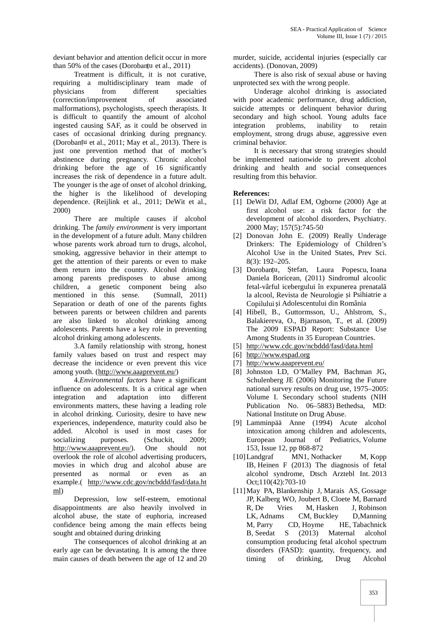deviant behavior and attention deficit occur in more than 50% of the cases (Dorobanțu et al., 2011)

Treatment is difficult, it is not curative, requiring a multidisciplinary team made of physicians from different specialties (correction/improvement of associated malformations), psychologists, speech therapists. It is difficult to quantify the amount of alcohol ingested causing SAF, as it could be observed in cases of occasional drinking during pregnancy. (Dorobanțu et al., 2011; May et al., 2013). There is just one prevention method that of mother's abstinence during pregnancy. Chronic alcohol drinking before the age of 16 significantly increases the risk of dependence in a future adult. The younger is the age of onset of alcohol drinking, the higher is the likelihood of developing dependence. (Reijlink et al., 2011; DeWit et al., 2000)

There are multiple causes if alcohol drinking. The *family environment* is very important in the development of a future adult. Many children whose parents work abroad turn to drugs, alcohol, smoking, aggressive behavior in their attempt to get the attention of their parents or even to make them return into the country. Alcohol drinking [3] Dorobanțu, among parents predisposes to abuse among children, a genetic component being also<br>mentioned in this sense. (Sumnall, 2011) mentioned in this sense. Separation or death of one of the parents fights between parents or between children and parents are also linked to alcohol drinking among adolescents. Parents have a key role in preventing alcohol drinking among adolescents.

3.A family relationship with strong, honest family values based on trust and respect may decrease the incidence or even prevent this vice among youth. (http://www.aaaprevent.eu/)

4.*Environmental factors* have a significant influence on adolescents. It is a critical age when integration and adaptation into different environments matters, these having a leading role in alcohol drinking. Curiosity, desire to have new experiences, independence, maturity could also be added. Alcohol is used in most cases for socializing purposes. (Schuckit, 2009;<br>http://www.aaaprevent.eu/). One should not http://www.aaaprevent.eu/). One should not overlook the role of alcohol advertising producers, movies in which drug and alcohol abuse are presented as normal or even as an example.( http://www.cdc.gov/ncbddd/fasd/data.ht ml)

Depression, low self-esteem, emotional disappointments are also heavily involved in alcohol abuse, the state of euphoria, increased confidence being among the main effects being sought and obtained during drinking

The consequences of alcohol drinking at an early age can be devastating. It is among the three main causes of death between the age of 12 and 20 murder, suicide, accidental injuries (especially car accidents). (Donovan, 2009)

There is also risk of sexual abuse or having unprotected sex with the wrong people.

Underage alcohol drinking is associated with poor academic performance, drug addiction, suicide attempts or delinquent behavior during secondary and high school. Young adults face<br>integration problems, inability to retain problems, inability to employment, strong drugs abuse, aggressive even criminal behavior.

It is necessary that strong strategies should be implemented nationwide to prevent alcohol drinking and health and social consequences resulting from this behavior.

## **References:**

- [1] DeWit DJ, Adlaf EM, Ogborne (2000) Age at first alcohol use: a risk factor for the development of alcohol disorders, Psychiatry. 2000 May; 157(5):745-50
- [2] Donovan John E. (2009) Really Underage Drinkers: The Epidemiology of Children's Alcohol Use in the United States, Prev Sci. 8(3): 192–205.
- tefan, Laura Popescu, Ioana Daniela Boricean, (2011) Sindromul alcoolic fetal-vârful icebergului în expunerea prenatală la alcool, Revista de Neurologie i Psihiatrie a Copilului i Adolescentului din România
- [4] Hibell, B., Guttormsson, U., Ahlstrom, S., Balakiereva, O., Bjarnason, T., et al. (2009) The 2009 ESPAD Report: Substance Use Among Students in 35 European Countries.
- [5] http://www.cdc.gov/ncbddd/fasd/data.html
- [6] http://www.espad.org
- [7] http://www.aaaprevent.eu/
- [8] Johnston LD, O'Malley PM, Bachman JG, Schulenberg JE (2006) Monitoring the Future national survey results on drug use, 1975–2005: Volume I. Secondary school students (NIH Publication No. 06–5883) Bethedsa, MD: National Institute on Drug Abuse.
- [9] Lamminpää Anne (1994) Acute alcohol intoxication among children and adolescents, European Journal of Pediatrics, Volume 153, Issue 12, pp 868-872
- [10]Landgraf MN1, Nothacker M, Kopp IB, Heinen F (2013) The diagnosis of fetal alcohol syndrome, Dtsch Arztebl Int. 2013 Oct;110(42):703-10
- [11]May PA, Blankenship J, Marais AS, Gossage JP, Kalberg WO, Joubert B, Cloete M, Barnard R, De Vries M, Hasken J, Robinson LK, Adnams CM, Buckley D,Manning M, Parry CD, Hoyme HE, Tabachnick B, Seedat S (2013) Maternal alcohol consumption producing fetal alcohol spectrum disorders (FASD): quantity, frequency, and timing of drinking, Drug Alcohol